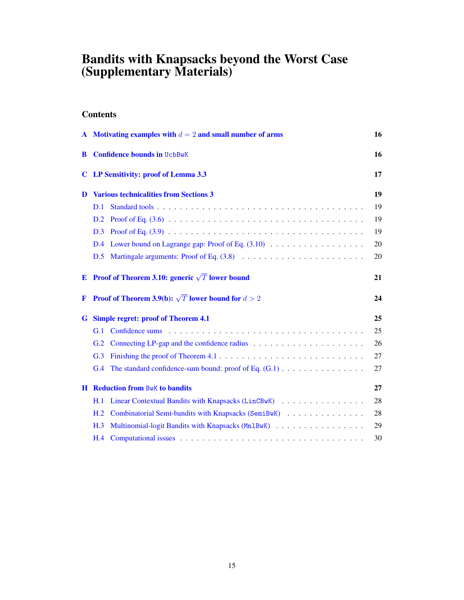# <span id="page-0-77"></span><span id="page-0-63"></span><span id="page-0-61"></span><span id="page-0-46"></span><span id="page-0-44"></span><span id="page-0-35"></span><span id="page-0-11"></span><span id="page-0-10"></span>Bandits with Knapsacks beyond the Worst Case (Supplementary Materials)

# <span id="page-0-79"></span><span id="page-0-75"></span><span id="page-0-66"></span><span id="page-0-64"></span><span id="page-0-8"></span>**Contents**

<span id="page-0-85"></span><span id="page-0-84"></span><span id="page-0-83"></span><span id="page-0-82"></span><span id="page-0-81"></span><span id="page-0-80"></span><span id="page-0-78"></span><span id="page-0-76"></span><span id="page-0-74"></span><span id="page-0-73"></span><span id="page-0-72"></span><span id="page-0-71"></span><span id="page-0-70"></span><span id="page-0-69"></span><span id="page-0-68"></span><span id="page-0-67"></span><span id="page-0-65"></span><span id="page-0-62"></span><span id="page-0-60"></span><span id="page-0-59"></span><span id="page-0-58"></span><span id="page-0-57"></span><span id="page-0-56"></span><span id="page-0-55"></span><span id="page-0-54"></span><span id="page-0-53"></span><span id="page-0-52"></span><span id="page-0-51"></span><span id="page-0-50"></span><span id="page-0-49"></span><span id="page-0-48"></span><span id="page-0-47"></span><span id="page-0-45"></span><span id="page-0-43"></span><span id="page-0-42"></span><span id="page-0-41"></span><span id="page-0-40"></span><span id="page-0-39"></span><span id="page-0-38"></span><span id="page-0-37"></span><span id="page-0-36"></span><span id="page-0-34"></span><span id="page-0-33"></span><span id="page-0-32"></span><span id="page-0-31"></span><span id="page-0-30"></span><span id="page-0-29"></span><span id="page-0-28"></span><span id="page-0-27"></span><span id="page-0-26"></span><span id="page-0-25"></span><span id="page-0-24"></span><span id="page-0-23"></span><span id="page-0-22"></span><span id="page-0-21"></span><span id="page-0-20"></span><span id="page-0-19"></span><span id="page-0-18"></span><span id="page-0-17"></span><span id="page-0-16"></span><span id="page-0-15"></span><span id="page-0-14"></span><span id="page-0-13"></span><span id="page-0-12"></span><span id="page-0-9"></span><span id="page-0-7"></span><span id="page-0-6"></span><span id="page-0-5"></span><span id="page-0-4"></span><span id="page-0-3"></span><span id="page-0-2"></span><span id="page-0-1"></span><span id="page-0-0"></span>

|   | A Motivating examples with $d = 2$ and small number of arms            | 16 |
|---|------------------------------------------------------------------------|----|
| B | <b>Confidence bounds in UcbBwK</b>                                     | 16 |
| C | LP Sensitivity: proof of Lemma 3.3                                     | 17 |
| D | <b>Various technicalities from Sections 3</b>                          | 19 |
|   | D.1                                                                    | 19 |
|   | D.2                                                                    | 19 |
|   | D.3                                                                    | 19 |
|   | Lower bound on Lagrange gap: Proof of Eq. $(3.10)$<br>D.4              | 20 |
|   | D.5                                                                    | 20 |
| E | <b>Proof of Theorem 3.10: generic</b> $\sqrt{T}$ lower bound           | 21 |
| F | <b>Proof of Theorem 3.9(b):</b> $\sqrt{T}$ lower bound for $d > 2$     | 24 |
| G | <b>Simple regret: proof of Theorem 4.1</b>                             | 25 |
|   | G.1                                                                    | 25 |
|   | G.2                                                                    | 26 |
|   | G.3                                                                    | 27 |
|   | The standard confidence-sum bound: proof of Eq. $(G.1)$<br>G.4         | 27 |
|   | <b>H</b> Reduction from BwK to bandits                                 | 27 |
|   |                                                                        |    |
|   | Linear Contextual Bandits with Knapsacks (LinCBwK)<br>H.1              | 28 |
|   | Combinatorial Semi-bandits with Knapsacks (SemiBwK)<br>H <sub>.2</sub> | 28 |
|   | Multinomial-logit Bandits with Knapsacks (Mn1BwK)<br>H.3               | 29 |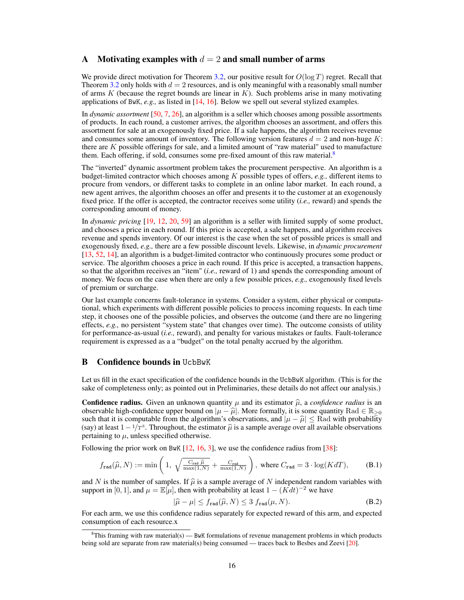### A Motivating examples with  $d = 2$  and small number of arms

We provide direct motivation for Theorem [3.2,](#page-4-1) our positive result for *O*(log *T*) regret. Recall that Theorem [3.2](#page-4-1) only holds with  $d = 2$  resources, and is only meaningful with a reasonably small number of arms *K* (because the regret bounds are linear in *K*). Such problems arise in many motivating applications of BwK, *e.g.,* as listed in [\[14,](#page-10-0) [16\]](#page-10-1). Below we spell out several stylized examples.

In *dynamic assortment* [\[50,](#page-12-0) [7,](#page-10-2) [26\]](#page-11-0), an algorithm is a seller which chooses among possible assortments of products. In each round, a customer arrives, the algorithm chooses an assortment, and offers this assortment for sale at an exogenously fixed price. If a sale happens, the algorithm receives revenue and consumes some amount of inventory. The following version features  $d = 2$  and non-huge  $K$ : there are *K* possible offerings for sale, and a limited amount of "raw material" used to manufacture them. Each offering, if sold, consumes some pre-fixed amount of this raw material.<sup>8</sup>

The "inverted" dynamic assortment problem takes the procurement perspective. An algorithm is a budget-limited contractor which chooses among *K* possible types of offers, *e.g.,* different items to procure from vendors, or different tasks to complete in an online labor market. In each round, a new agent arrives, the algorithm chooses an offer and presents it to the customer at an exogenously fixed price. If the offer is accepted, the contractor receives some utility (*i.e.,* reward) and spends the corresponding amount of money.

In *dynamic pricing* [\[19,](#page-10-3) [12,](#page-10-4) [20,](#page-11-1) [59\]](#page-13-0) an algorithm is a seller with limited supply of some product, and chooses a price in each round. If this price is accepted, a sale happens, and algorithm receives revenue and spends inventory. Of our interest is the case when the set of possible prices is small and exogenously fixed, *e.g.,* there are a few possible discount levels. Likewise, in *dynamic procurement* [\[13,](#page-10-5) [52,](#page-12-1) [14\]](#page-10-0), an algorithm is a budget-limited contractor who continuously procures some product or service. The algorithm chooses a price in each round. If this price is accepted, a transaction happens, so that the algorithm receives an "item" (*i.e.,* reward of 1) and spends the corresponding amount of money. We focus on the case when there are only a few possible prices, *e.g.,* exogenously fixed levels of premium or surcharge.

Our last example concerns fault-tolerance in systems. Consider a system, either physical or computational, which experiments with different possible policies to process incoming requests. In each time step, it chooses one of the possible policies, and observes the outcome (and there are no lingering effects, *e.g.,* no persistent "system state" that changes over time). The outcome consists of utility for performance-as-usual (*i.e.*, reward), and penalty for various mistakes or faults. Fault-tolerance requirement is expressed as a a "budget" on the total penalty accrued by the algorithm.

# **B** Confidence bounds in UcbBwK

Let us fill in the exact specification of the confidence bounds in the UcbBwK algorithm. (This is for the sake of completeness only; as pointed out in Preliminaries, these details do not affect our analysis.)

**Confidence radius.** Given an unknown quantity  $\mu$  and its estimator  $\hat{\mu}$ , a *confidence radius* is an observable high-confidence upper bound on  $|\mu - \hat{\mu}|$ . More formally, it is some quantity Rad  $\in \mathbb{R}_{\geq 0}$ such that it is computable from the algorithm's observations, and  $|\mu - \hat{\mu}| \leq R$  ad with probability (say) at least  $1-1/\overline{T}^3$ . Throughout, the estimator  $\hat{\mu}$  is a sample average over all available observations pertaining to  $\mu$ , unless specified otherwise.

Following the prior work on BwK [\[12,](#page-10-4) [16,](#page-10-1) [3\]](#page-10-6), we use the confidence radius from [\[38\]](#page-11-2):

$$
f_{\text{rad}}(\widehat{\mu}, N) := \min\left(1, \ \sqrt{\frac{C_{\text{rad}}\,\widehat{\mu}}{\max(1, N)}} + \frac{C_{\text{rad}}}{\max(1, N)}\right), \text{ where } C_{\text{rad}} = 3 \cdot \log(KdT),\tag{B.1}
$$

and N is the number of samples. If  $\hat{\mu}$  is a sample average of N independent random variables with support in [0, 1], and  $\mu = \mathbb{E}[\mu]$ , then with probability at least  $1 - (Kdt)^{-2}$  we have

$$
|\hat{\mu} - \mu| \le f_{\text{rad}}(\hat{\mu}, N) \le 3 f_{\text{rad}}(\mu, N). \tag{B.2}
$$

For each arm, we use this confidence radius separately for expected reward of this arm, and expected consumption of each resource.x

 ${}^{8}$ This framing with raw material(s) — BwK formulations of revenue management problems in which products being sold are separate from raw material(s) being consumed — traces back to Besbes and Zeevi [\[20\]](#page-11-1).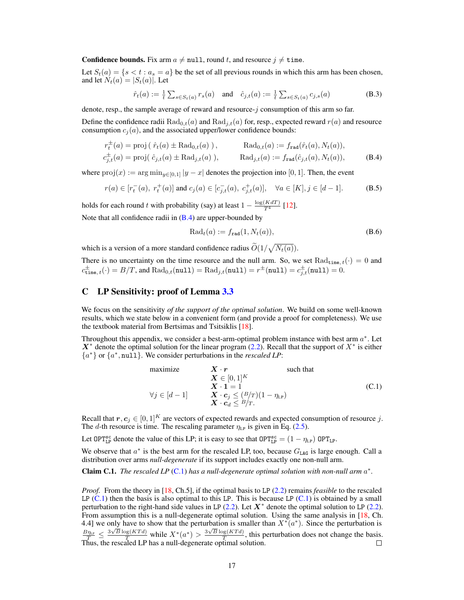**Confidence bounds.** Fix arm  $a \neq \text{null}$ , round t, and resource  $j \neq \text{time}$ .

Let  $S_t(a) = \{s < t : a_s = a\}$  be the set of all previous rounds in which this arm has been chosen, and let  $N_t(a) = |S_t(a)|$ . Let

$$
\hat{r}_t(a) := \frac{1}{t} \sum_{s \in S_t(a)} r_s(a) \quad \text{and} \quad \hat{c}_{j,t}(a) := \frac{1}{t} \sum_{s \in S_t(a)} c_{j,s}(a) \tag{B.3}
$$

denote, resp., the sample average of reward and resource-*j* consumption of this arm so far.

Define the confidence radii  $\text{Rad}_{0,t}(a)$  and  $\text{Rad}_{j,t}(a)$  for, resp., expected reward  $r(a)$  and resource consumption  $c_i(a)$ , and the associated upper/lower confidence bounds:

$$
r_t^{\pm}(a) = \text{proj} \left( \hat{r}_t(a) \pm \text{Rad}_{0,t}(a) \right), \qquad \text{Rad}_{0,t}(a) := f_{\text{rad}}(\hat{r}_t(a), N_t(a)),
$$
  
\n
$$
c_{j,t}^{\pm}(a) = \text{proj} \left( \hat{c}_{j,t}(a) \pm \text{Rad}_{j,t}(a) \right), \qquad \text{Rad}_{j,t}(a) := f_{\text{rad}}(\hat{c}_{j,t}(a), N_t(a)), \qquad (B.4)
$$

where  $proj(x) := \arg \min_{y \in [0,1]} |y - x|$  denotes the projection into [0, 1]. Then, the event

$$
r(a) \in [r_t^-(a), r_t^+(a)] \text{ and } c_j(a) \in [c_{j,t}^-(a), c_{j,t}^+(a)], \quad \forall a \in [K], j \in [d-1].
$$
 (B.5)

holds for each round *t* with probability (say) at least  $1 - \frac{\log(KdT)}{T^4}$  [\[12\]](#page-0-0).

Note that all confidence radii in  $(B.4)$  are upper-bounded by

$$
Radt(a) := frad(1, Nt(a)),
$$
\n(B.6)

which is a version of a more standard confidence radius  $\tilde{O}(1/\sqrt{N_t(a)})$ .

There is no uncertainty on the time resource and the null arm. So, we set  $\text{Rad}_{\text{time},t}(\cdot)=0$  and  $c^{\pm}_{\text{time}, t}(\cdot) = B/T$ , and  $\text{Rad}_{0,t}(\text{null}) = \text{Rad}_{j,t}(\text{null}) = r^{\pm}(\text{null}) = c^{\pm}_{j,t}(\text{null}) = 0.$ 

# C LP Sensitivity: proof of Lemma [3.3](#page-0-2)

We focus on the sensitivity *of the support of the optimal solution*. We build on some well-known results, which we state below in a convenient form (and provide a proof for completeness). We use the textbook material from Bertsimas and Tsitsiklis [\[18\]](#page-0-3).

Throughout this appendix, we consider a best-arm-optimal problem instance with best arm *a*⇤. Let  $X^*$  denote the optimal solution for the linear program [\(2.2\)](#page-0-4). Recall that the support of  $X^*$  is either *{a*⇤*}* or *{a*⇤*,* null*}*. We consider perturbations in the *rescaled LP*:

maximize 
$$
\mathbf{X} \cdot \mathbf{r}
$$
 such that  
\n $\mathbf{X} \in [0, 1]^K$   
\n $\mathbf{X} \cdot \mathbf{1} = 1$   
\n $\forall j \in [d-1]$   $\mathbf{X} \cdot \mathbf{c}_j \leq \left(\frac{B}{T}\right)(1 - \eta_{LP})$   
\n $\mathbf{X} \cdot \mathbf{c}_d \leq \frac{B}{T}$ . (C.1)

Recall that  $r, c_j \in [0, 1]^K$  are vectors of expected rewards and expected consumption of resource *j*. The *d*-th resource is time. The rescaling parameter  $\eta_{LP}$  is given in Eq. [\(2.5\)](#page-0-5).

Let OPT<sup>sc</sup> denote the value of this LP; it is easy to see that  $OPT_{LP}^{sc} = (1 - \eta_{LP})$  OPT<sub>LP</sub>.

We observe that  $a^*$  is the best arm for the rescaled LP, too, because  $G_{\text{LAG}}$  is large enough. Call a distribution over arms *null-degenerate* if its support includes exactly one non-null arm.

**Claim C.1.** *The rescaled LP* [\(C.1\)](#page-0-6) *has a null-degenerate optimal solution with non-null arm*  $a^*$ *.* 

*Proof.* From the theory in [\[18,](#page-0-3) Ch.5], if the optimal basis to LP [\(2.2\)](#page-0-4) remains *feasible* to the rescaled LP  $(C.1)$  then the basis is also optimal to this LP. This is because LP  $(C.1)$  is obtained by a small perturbation to the right-hand side values in LP  $(2.2)$ . Let  $X^*$  denote the optimal solution to LP  $(2.2)$ . From assumption this is a null-degenerate optimal solution. Using the same analysis in [\[18,](#page-0-3) Ch. 4.4] we only have to show that the perturbation is smaller than  $X^*(a^*)$ . Since the perturbation is  $\frac{B_{\eta_{\mu\nu}}}{T} \leq \frac{3\sqrt{B}\log(KTd)}{T}$  while  $X^*(a^*) > \frac{3\sqrt{B}\log(KTd)}{T}$ , this perturbation does not change the basis. Thus, the rescaled LP has a null-degenerate optimal solution.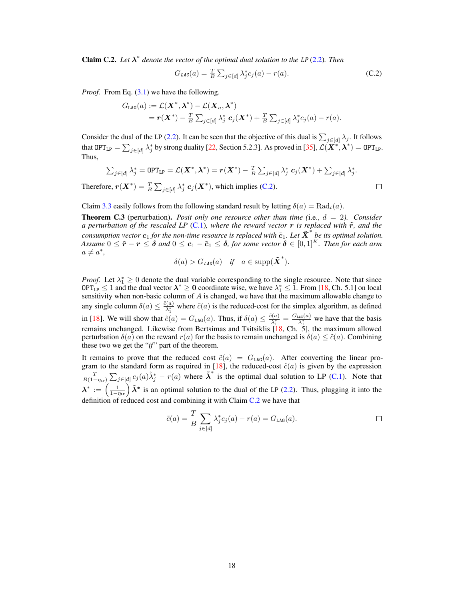**Claim C.2.** Let  $\lambda^*$  denote the vector of the optimal dual solution to the LP [\(2.2\)](#page-0-4). Then

$$
G_{LAG}(a) = \frac{T}{B} \sum_{j \in [d]} \lambda_j^* c_j(a) - r(a). \tag{C.2}
$$

*Proof.* From Eq. [\(3.1\)](#page-0-7) we have the following.

$$
G_{\texttt{LAG}}(a) := \mathcal{L}(\boldsymbol{X}^*, \boldsymbol{\lambda}^*) - \mathcal{L}(\boldsymbol{X}_a, \boldsymbol{\lambda}^*) \\ = \boldsymbol{r}(\boldsymbol{X}^*) - \frac{T}{B}\sum_{j \in [d]} \lambda_j^* \, \boldsymbol{c}_j(\boldsymbol{X}^*) + \frac{T}{B}\sum_{j \in [d]} \lambda_j^* c_j(a) - r(a).
$$

<span id="page-3-0"></span>Consider the dual of the LP [\(2.2\)](#page-0-4). It can be seen that the objective of this dual is  $\sum_{j \in [d]} \lambda_j$ . It follows that OPT<sub>LP</sub> =  $\sum_{j \in [d]} \lambda_j^*$  by strong duality [\[22,](#page-0-8) Section 5.2.3]. As proved in [\[35\]](#page-0-9),  $\mathcal{L}(\mathbf{X}^*, \boldsymbol{\lambda}^*) = \text{OPT}_{\text{LP}}$ . Thus,

$$
\sum_{j\in[d]}\lambda_j^* = \text{OPT}_{\text{LP}} = \mathcal{L}(\boldsymbol{X}^*, \boldsymbol{\lambda}^*) = \boldsymbol{r}(\boldsymbol{X}^*) - \frac{T}{B}\sum_{j\in[d]}\lambda_j^*\boldsymbol{c}_j(\boldsymbol{X}^*) + \sum_{j\in[d]}\lambda_j^*.
$$

Therefore,  $r(X^*) = \frac{T}{B} \sum_{j \in [d]} \lambda_j^* c_j(X^*)$ , which implies [\(C.2\)](#page-0-10).

 $\Box$ 

Claim [3.3](#page-0-2) easily follows from the following standard result by letting  $\delta(a) = \text{Rad}_t(a)$ .

Theorem C.3 (perturbation). *Posit only one resource other than time (*i.e., *d* = 2*). Consider a perturbation of the rescaled LP* [\(C.1\)](#page-0-6)*, where the reward vector*  $\bf{r}$  *is replaced with*  $\bf{\tilde{r}}$ *, and the consumption vector*  $c_1$  *for the non-time resource is replaced with*  $\tilde{c}_1$ *. Let*  $\tilde{X}^*$  *be its optimal solution. Assume*  $0 \leq \tilde{r} - r \leq \delta$  and  $0 \leq c_1 - \tilde{c}_1 \leq \delta$ , for some vector  $\delta \in [0,1]^K$ . Then for each arm  $a \neq a^*$ 

$$
\delta(a) > G_{LAG}(a) \quad \text{if} \quad a \in \text{supp}(\tilde{\boldsymbol{X}}^*).
$$

*Proof.* Let  $\lambda_1^* \geq 0$  denote the dual variable corresponding to the single resource. Note that since  $OPT_{LP} \le 1$  and the dual vector  $\lambda^* \ge 0$  coordinate wise, we have  $\lambda_1^* \le 1$ . From [\[18,](#page-0-3) Ch. 5.1] on local sensitivity when non-basic column of *A* is changed, we have that the maximum allowable change to any single column  $\delta(a) \leq \frac{\tilde{c}(a)}{\lambda_1^*}$  where  $\tilde{c}(a)$  is the reduced-cost for the simplex algorithm, as defined in [\[18\]](#page-0-3). We will show that  $\tilde{c}(a) = G_{\text{LAG}}(a)$ . Thus, if  $\delta(a) \leq \frac{\tilde{c}(a)}{\lambda_1^*} = \frac{G_{\text{LAG}}(a)}{\lambda_1^*}$  we have that the basis remains unchanged. Likewise from Bertsimas and Tsitsiklis [\[18,](#page-0-3) Ch. 5], the maximum allowed perturbation  $\delta(a)$  on the reward  $r(a)$  for the basis to remain unchanged is  $\delta(a) \leq \tilde{c}(a)$ . Combining these two we get the "*if*" part of the theorem.

It remains to prove that the reduced cost  $\tilde{c}(a) = G_{\text{LAG}}(a)$ . After converting the linear pro-gram to the standard form as required in [\[18\]](#page-0-3), the reduced-cost  $\tilde{c}(a)$  is given by the expression  $\frac{T}{B(1-\eta_{\mu})} \sum_{j\in[d]} c_j(a)\tilde{\lambda}_j^* - r(a)$  where  $\tilde{\lambda}^*$  is the optimal dual solution to LP [\(C.1\)](#page-0-6). Note that  $\lambda^* := \left(\frac{1}{1-\eta_{LF}}\right)\tilde{\lambda}^*$  is an optimal solution to the dual of the LP [\(2.2\)](#page-0-4). Thus, plugging it into the definition of reduced cost and combining it with Claim [C.2](#page-0-11) we have that

$$
\tilde{c}(a) = \frac{T}{B} \sum_{j \in [d]} \lambda_j^* c_j(a) - r(a) = G_{\text{LAG}}(a).
$$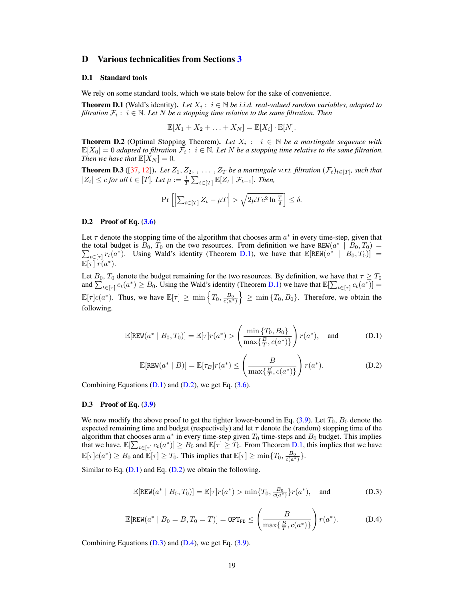### D Various technicalities from Sections [3](#page-0-12)

#### D.1 Standard tools

<span id="page-4-1"></span>We rely on some standard tools, which we state below for the sake of convenience.

**Theorem D.1** (Wald's identity). Let  $X_i : i \in \mathbb{N}$  be *i.i.d. real-valued random variables, adapted to filtration*  $\mathcal{F}_i$ :  $i \in \mathbb{N}$ . Let N be a stopping time relative to the same filtration. Then

$$
\mathbb{E}[X_1 + X_2 + \ldots + X_N] = \mathbb{E}[X_i] \cdot \mathbb{E}[N].
$$

**Theorem D.2** (Optimal Stopping Theorem). Let  $X_i : i \in \mathbb{N}$  be a martingale sequence with  $\mathbb{E}[X_0]=0$  adapted to filtration  $\mathcal{F}_i: i \in \mathbb{N}$ . Let N be a stopping time relative to the same filtration. *Then we have that*  $\mathbb{E}[X_N] = 0$ *.* 

**Theorem D.3** ([\[37,](#page-0-13) [12\]](#page-0-0)). Let  $Z_1, Z_2, \ldots, Z_T$  be a martingale w.r.t. filtration  $(\mathcal{F}_t)_{t \in [T]}$ , such that  $|Z_t| \leq c$  *for all*  $t \in [T]$ *. Let*  $\mu := \frac{1}{T} \sum_{t \in [T]} \mathbb{E}[Z_t | \mathcal{F}_{t-1}]$ *. Then,* 

$$
\Pr\left[\left|\sum_{t\in[T]} Z_t - \mu T\right| > \sqrt{2\mu T c^2 \ln \frac{T}{\delta}}\right] \le \delta.
$$

### D.2 Proof of Eq. [\(3.6\)](#page-0-14)

Let  $\tau$  denote the stopping time of the algorithm that chooses arm  $a^*$  in every time-step, given that the total budget is  $B_0$ ,  $T_0$  on the two resources. From definition we have  $REW(a^* | B_0, T_0)$  $\sum_{t \in [\tau]} r_t(a^*)$ . Using Wald's identity (Theorem [D.1\)](#page-0-8), we have that  $\mathbb{E}[\text{REW}(a^* \mid B_0, T_0)] =$  $\mathbb{E}[\tau]$   $r(a^*)$ .

<span id="page-4-0"></span>Let  $B_0$ ,  $T_0$  denote the budget remaining for the two resources. By definition, we have that  $\tau \geq T_0$ and  $\sum_{t \in [\tau]} c_t(a^*) \ge B_0$ . Using the Wald's identity (Theorem [D.1\)](#page-0-8) we have that  $\mathbb{E}[\sum_{t \in [\tau]} c_t(a^*)] =$  $\mathbb{E}[\tau]c(a^*)$ . Thus, we have  $\mathbb{E}[\tau] \ge \min \left\{T_0, \frac{B_0}{c(a^*)}\right\}$  $\}$   $\geq$  min  $\{T_0, B_0\}$ . Therefore, we obtain the following.

$$
\mathbb{E}[\text{REW}(a^* \mid B_0, T_0)] = \mathbb{E}[\tau]r(a^*) > \left(\frac{\min\{T_0, B_0\}}{\max\{\frac{B}{T}, c(a^*)\}}\right)r(a^*), \text{ and } (D.1)
$$

$$
\mathbb{E}[\text{REW}(a^* \mid B)] = \mathbb{E}[\tau_B]r(a^*) \le \left(\frac{B}{\max\{\frac{B}{T}, c(a^*)\}}\right)r(a^*).
$$
 (D.2)

Combining Equations  $(D.1)$  and  $(D.2)$ , we get Eq.  $(3.6)$ .

### D.3 Proof of Eq. [\(3.9\)](#page-0-17)

We now modify the above proof to get the tighter lower-bound in Eq.  $(3.9)$ . Let  $T_0$ ,  $B_0$  denote the expected remaining time and budget (respectively) and let  $\tau$  denote the (random) stopping time of the algorithm that chooses arm  $a^*$  in every time-step given  $T_0$  time-steps and  $B_0$  budget. This implies that we have,  $\mathbb{E}[\sum_{t \in [\tau]} c_t(a^*)] \geq B_0$  and  $\mathbb{E}[\tau] \geq T_0$ . From Theorem [D.1,](#page-0-8) this implies that we have  $\mathbb{E}[\tau]c(a^*) \geq B_0$  and  $\mathbb{E}[\tau] \geq T_0$ . This implies that  $\mathbb{E}[\tau] \geq \min\{T_0, \frac{B_0}{c(a^*)}\}.$ 

Similar to Eq.  $(D.1)$  and Eq.  $(D.2)$  we obtain the following.

$$
\mathbb{E}[\text{REW}(a^* \mid B_0, T_0)] = \mathbb{E}[\tau]r(a^*) > \min\{T_0, \frac{B_0}{c(a^*)}\}r(a^*), \text{ and } (D.3)
$$

$$
\mathbb{E}[\text{REW}(a^* \mid B_0 = B, T_0 = T)] = \text{OPT}_{\text{FD}} \le \left(\frac{B}{\max\{\frac{B}{T}, c(a^*)\}}\right) r(a^*).
$$
 (D.4)

Combining Equations  $(D.3)$  and  $(D.4)$ , we get Eq.  $(3.9)$ .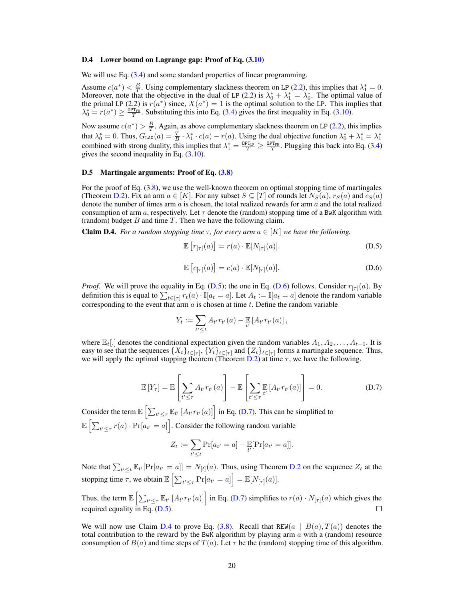#### D.4 Lower bound on Lagrange gap: Proof of Eq.  $(3.10)$

We will use Eq.  $(3.4)$  and some standard properties of linear programming.

Assume  $c(a^*) < \frac{B}{T}$ . Using complementary slackness theorem on LP [\(2.2\)](#page-0-4), this implies that  $\lambda_1^* = 0$ . Moreover, note that the objective in the dual of LP [\(2.2\)](#page-0-4) is  $\lambda_0^* + \lambda_1^* = \lambda_0^*$ . The optimal value of the primal LP [\(2.2\)](#page-0-4) is  $r(a^*)$  since,  $X(a^*)=1$  is the optimal solution to the LP. This implies that  $\lambda_0^* = r(a^*) \ge \frac{\text{OPT}_{FD}}{T}$ . Substituting this into Eq. [\(3.4\)](#page-0-21) gives the first inequality in Eq. [\(3.10\)](#page-0-20).

Now assume  $c(a^*) > \frac{B}{T}$ . Again, as above complementary slackness theorem on LP [\(2.2\)](#page-0-4), this implies that  $\lambda_0^* = 0$ . Thus,  $G_{\text{LAG}}(a) = \frac{T}{B} \cdot \lambda_1^* \cdot c(a) - r(a)$ . Using the dual objective function  $\lambda_0^* + \lambda_1^* = \lambda_1^*$ <br>combined with strong duality, this implies that  $\lambda_1^* = \frac{0 \text{PT}_{\text{LP}}}{T} \ge \frac{0 \text{PT}_{\text{EP}}}{T}$ . Pluggin gives the second inequality in Eq.  $(3.10)$ .

### D.5 Martingale arguments: Proof of Eq.  $(3.8)$

For the proof of Eq. [\(3.8\)](#page-0-22), we use the well-known theorem on optimal stopping time of martingales (Theorem [D.2\)](#page-0-23). Fix an arm  $a \in [K]$ . For any subset  $S \subseteq [T]$  of rounds let  $N_S(a)$ ,  $r_S(a)$  and  $c_S(a)$ denote the number of times arm *a* is chosen, the total realized rewards for arm *a* and the total realized consumption of arm  $a$ , respectively. Let  $\tau$  denote the (random) stopping time of a BwK algorithm with (random) budget *B* and time *T*. Then we have the following claim.

**Claim D.4.** *For a random stopping time*  $\tau$ *, for every arm*  $a \in [K]$  *we have the following.* 

<span id="page-5-0"></span>
$$
\mathbb{E}\left[r_{[\tau]}(a)\right] = r(a) \cdot \mathbb{E}[N_{[\tau]}(a)].\tag{D.5}
$$

$$
\mathbb{E}\left[c_{[\tau]}(a)\right] = c(a) \cdot \mathbb{E}[N_{[\tau]}(a)].\tag{D.6}
$$

*Proof.* We will prove the equality in Eq. [\(D.5\)](#page-0-24); the one in Eq. [\(D.6\)](#page-0-25) follows. Consider  $r_{[\tau]}(a)$ . By definition this is equal to  $\sum_{t \in [\tau]} r_t(a) \cdot \mathbb{I}[a_t = a]$ . Let  $A_t := \mathbb{I}[a_t = a]$  denote the random variable corresponding to the event that arm *a* is chosen at time *t*. Define the random variable

<span id="page-5-3"></span><span id="page-5-1"></span>
$$
Y_t := \sum_{t' \leq t} A_{t'} r_{t'}(a) - \mathbb{E}_{t'}[A_{t'} r_{t'}(a)],
$$

where  $\mathbb{E}_t[.]$  denotes the conditional expectation given the random variables  $A_1, A_2, \ldots, A_{t-1}$ . It is easy to see that the sequences  $\{X_t\}_{t \in [\tau]}$ ,  $\{Y_t\}_{t \in [\tau]}$  and  $\{Z_t\}_{t \in [\tau]}$  forms a martingale sequence. Thus, we will apply the optimal stopping theorem (Theorem [D.2\)](#page-0-23) at time  $\tau$ , we have the following.

$$
\mathbb{E}\left[Y_{\tau}\right] = \mathbb{E}\left[\sum_{t' \leq \tau} A_{t'} r_{t'}(a)\right] - \mathbb{E}\left[\sum_{t' \leq \tau} \mathbb{E}\left[A_{t'} r_{t'}(a)\right]\right] = 0.
$$
\n(D.7)

Consider the term  $\mathbb{E}\left[\sum_{t' \leq \tau} \mathbb{E}_{t'}[A_{t'}r_{t'}(a)]\right]$  in Eq. [\(D.7\)](#page-0-26). This can be simplified to  $\mathbb{E}\left[\sum_{t' \leq \tau} r(a) \cdot \Pr[a_{t'} = a]\right]$ . Consider the following random variable

<span id="page-5-2"></span>
$$
Z_t := \sum_{t' \le t} \Pr[a_{t'} = a] - \mathbb{E}_{t'}[\Pr[a_{t'} = a]].
$$

Note that  $\sum_{t' \leq t} \mathbb{E}_{t'}[\Pr[a_{t'} = a]] = N_{[t]}(a)$ . Thus, using Theorem [D.2](#page-0-23) on the sequence  $Z_t$  at the stopping time  $\tau$ , we obtain  $\mathbb{E}\left[\sum_{t' \leq \tau} \Pr[a_{t'} = a]\right] = \mathbb{E}[N_{[\tau]}(a)].$ 

Thus, the term  $\mathbb{E}\left[\sum_{t' \leq \tau} \mathbb{E}_{t'}\left[A_{t'}r_{t'}(a)\right]\right]$  in Eq. [\(D.7\)](#page-0-26) simplifies to  $r(a) \cdot N_{[\tau]}(a)$  which gives the required equality in Eq. [\(D.5\)](#page-0-24).  $\Box$ 

We will now use Claim [D.4](#page-0-27) to prove Eq. [\(3.8\)](#page-0-22). Recall that REW( $a | B(a), T(a)$ ) denotes the total contribution to the reward by the BwK algorithm by playing arm *a* with a (random) resource consumption of  $B(a)$  and time steps of  $T(a)$ . Let  $\tau$  be the (random) stopping time of this algorithm.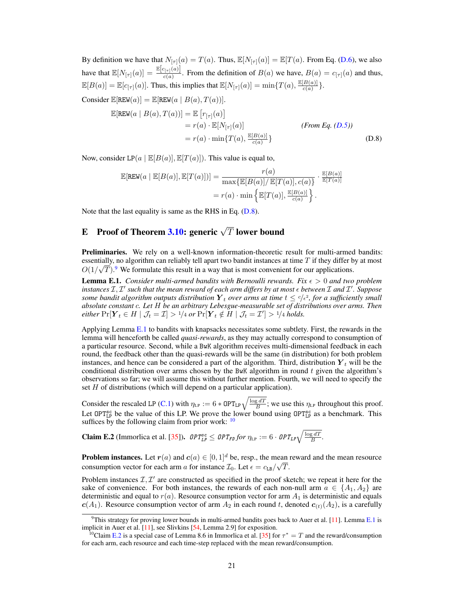By definition we have that  $N_{[\tau]}(a) = T(a)$ . Thus,  $\mathbb{E}[N_{[\tau]}(a)] = \mathbb{E}[T(a)$ . From Eq. [\(D.6\)](#page-0-25), we also have that  $\mathbb{E}[N_{[\tau]}(a)] = \frac{\mathbb{E}[c_{[\tau]}(a)]}{c(a)}$ . From the definition of  $B(a)$  we have,  $B(a) = c_{[\tau]}(a)$  and thus,  $\mathbb{E}[B(a)] = \mathbb{E}[c_{[\tau]}(a)]$ . Thus, this implies that  $\mathbb{E}[N_{[\tau]}(a)] = \min\{T(a), \frac{\mathbb{E}[B(a)]}{c(a)}\}$ . Consider  $\mathbb{E}[\text{REW}(a)] = \mathbb{E}[\text{REW}(a \mid B(a), T(a))].$ 

$$
\mathbb{E}[\text{REW}(a \mid B(a), T(a))] = \mathbb{E}\left[r_{[\tau]}(a)\right]
$$
  
=  $r(a) \cdot \mathbb{E}[N_{[\tau]}(a)]$  (From Eq. (D.5))  
=  $r(a) \cdot \min\{T(a), \frac{\mathbb{E}[B(a)]}{c(a)}\}$  (D.8)

Now, consider  $LP(a | E[B(a)], E[T(a)])$ . This value is equal to,

$$
\mathbb{E}[\text{REW}(a \mid \mathbb{E}[B(a)], \mathbb{E}[T(a)])] = \frac{r(a)}{\max\{\mathbb{E}[B(a)]/\mathbb{E}[T(a)], c(a)\}} \cdot \frac{\mathbb{E}[B(a)]}{\mathbb{E}[T(a)]}
$$

$$
= r(a) \cdot \min\left\{\mathbb{E}[T(a)], \frac{\mathbb{E}[B(a)]}{c(a)}\right\}.
$$

Note that the last equality is same as the RHS in Eq. [\(D.8\)](#page-0-28).

# E Proof of Theorem [3.10:](#page-0-29) generic  $\sqrt{T}$  lower bound

Preliminaries. We rely on a well-known information-theoretic result for multi-armed bandits: essentially, no algorithm can reliably tell apart two bandit instances at time *T* if they differ by at most  $O(1/\sqrt{T})$ .<sup>[9](#page-0-30)</sup> We formulate this result in a way that is most convenient for our applications.

**Lemma E.1.** *Consider multi-armed bandits with Bernoulli rewards. Fix*  $\epsilon > 0$  *and two problem*  $\inf$  *instances*  $\mathcal{I}, \mathcal{I}'$  such that the mean reward of each arm differs by at most  $\epsilon$  between  $\mathcal{I}$  and  $\mathcal{I}'$ . Suppose *some bandit algorithm outputs distribution*  $Y_t$  *over arms at time*  $t \leq c/\epsilon^2$ *, for a sufficiently small absolute constant c. Let H be an arbitrary Lebesgue-measurable set of distributions over arms. Then either*  $\Pr[Y_t \in H | J_t = I] > 1/4$  *or*  $\Pr[Y_t \notin H | J_t = I'] > 1/4$  *holds.* 

Applying Lemma [E.1](#page-0-31) to bandits with knapsacks necessitates some subtlety. First, the rewards in the lemma will henceforth be called *quasi-rewards*, as they may actually correspond to consumption of a particular resource. Second, while a BwK algorithm receives multi-dimensional feedback in each round, the feedback other than the quasi-rewards will be the same (in distribution) for both problem instances, and hence can be considered a part of the algorithm. Third, distribution  $Y_t$  will be the conditional distribution over arms chosen by the BwK algorithm in round *t* given the algorithm's observations so far; we will assume this without further mention. Fourth, we will need to specify the set *H* of distributions (which will depend on a particular application).

Consider the rescaled LP [\(C.1\)](#page-0-6) with  $\eta_{LP} := 6 * OPT_{LP} \sqrt{\frac{\log dT}{B}}$ ; we use this  $\eta_{LP}$  throughout this proof. Let OPT<sub>LP</sub> be the value of this LP. We prove the lower bound using  $OPT_{LP}^{sc}$  as a benchmark. This suffices by the following claim from prior work:  $10$ 

**Claim E.2** (Immortica et al. [\[35\]](#page-0-9)).  $\mathit{OPT_{LP}^{\text{sc}}}\leq \mathit{OPT_{FD}}$  for  $\eta_{LP}:=6\cdot \mathit{OPT_{LP}}\sqrt{\frac{\log dT}{B}}$ .

**Problem instances.** Let  $r(a)$  and  $c(a) \in [0, 1]^d$  be, resp., the mean reward and the mean resource consumption vector for each arm *a* for instance  $\mathcal{I}_0$ . Let  $\epsilon = c_{LB}/\sqrt{T}$ .

Problem instances  $\mathcal{I}, \mathcal{I}'$  are constructed as specified in the proof sketch; we repeat it here for the sake of convenience. For both instances, the rewards of each non-null arm  $a \in \{A_1, A_2\}$  are deterministic and equal to  $r(a)$ . Resource consumption vector for arm  $A_1$  is deterministic and equals  $c(A_1)$ . Resource consumption vector of arm  $A_2$  in each round *t*, denoted  $c_{(t)}(A_2)$ , is a carefully

<sup>&</sup>lt;sup>9</sup>This strategy for proving lower bounds in multi-armed bandits goes back to Auer et al. [\[11\]](#page-0-33). Lemma [E.1](#page-0-31) is implicit in Auer et al. [\[11\]](#page-0-33), see Slivkins [\[54,](#page-0-18) Lemma 2.9] for exposition.

<sup>&</sup>lt;sup>10</sup>Claim [E.2](#page-0-34) is a special case of Lemma 8.6 in Immorlica et al. [\[35\]](#page-0-9) for  $\tau^* = T$  and the reward/consumption for each arm, each resource and each time-step replaced with the mean reward/consumption.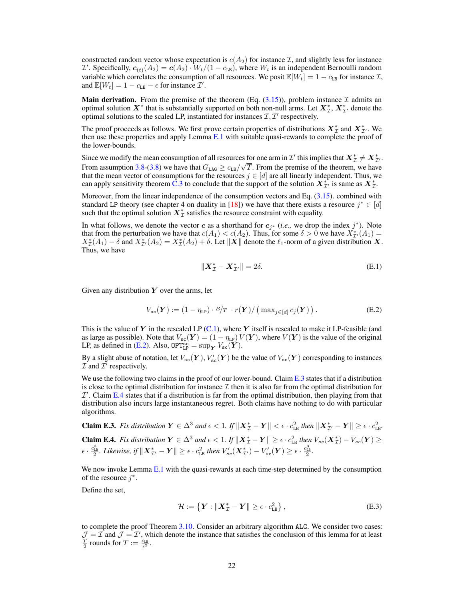<span id="page-7-1"></span>constructed random vector whose expectation is  $c(A_2)$  for instance *I*, and slightly less for instance *I*<sup> $1$ </sup>. Specifically,  $c_{(t)}(A_2) = c(A_2) \cdot W_t/(1 - c_{\text{LB}})$ , where  $W_t$  is an independent Bernoulli random variable which correlates the consumption of all resources. We posit  $\mathbb{E}[W_t]=1 - c_{\text{LB}}$  for instance *I*, and  $\mathbb{E}[W_t] = 1 - c_{LB} - \epsilon$  for instance  $\mathcal{I}'$ .

**Main derivation.** From the premise of the theorem (Eq.  $(3.15)$ ), problem instance  $\mathcal{I}$  admits an optimal solution  $X^*$  that is substantially supported on both non-null arms. Let  $X^*_{\mathcal{I}}, X^*_{\mathcal{I}}$  denote the optimal solutions to the scaled LP, instantiated for instances  $I, I'$  respectively.

The proof proceeds as follows. We first prove certain properties of distributions  $X^*_{\mathcal{I}}$  and  $X^*_{\mathcal{I}}$ . We then use these properties and apply Lemma  $E.1$  with suitable quasi-rewards to complete the proof of the lower-bounds.

Since we modify the mean consumption of all resources for one arm in  $\mathcal{I}'$  this implies that  $X^*_{\mathcal{I}} \neq X^*_{\mathcal{I}'}$ . From assumption [3.8-\(3.8\)](#page-0-36) we have that  $G_{\text{LAG}} \ge c_{\text{LB}}/\sqrt{T}$ . From the premise of the theorem, we have that the mean vector of consumptions for the resources  $j \in [d]$  are all linearly independent. Thus, we can apply sensitivity theorem [C.3](#page-0-37) to conclude that the support of the solution  $X^*_{\mathcal{I}}$ , is same as  $X^*_{\mathcal{I}}$ .

<span id="page-7-0"></span>Moreover, from the linear independence of the consumption vectors and Eq. [\(3.15\)](#page-0-35). combined with standard LP theory (see chapter 4 on duality in [\[18\]](#page-0-3)) we have that there exists a resource  $j^* \in [d]$ such that the optimal solution  $X^*_{\mathcal{I}}$  satisfies the resource constraint with equality.

In what follows, we denote the vector *c* as a shorthand for  $c_j$ <sup>∗</sup> (*i.e.*, we drop the index *j*<sup>\*</sup>). Note that from the perturbation we have that  $c(A_1) < c(A_2)$ . Thus, for some  $\delta > 0$  we have  $X^*_{\mathcal{I}}(A_1) = X^*(A_1)$ .  $X_{\mathcal{I}}^*(A_1) - \delta$  and  $X_{\mathcal{I}'}^*(A_2) = X_{\mathcal{I}}^*(A_2) + \delta$ . Let  $||X||$  denote the  $\ell_1$ -norm of a given distribution *X*. Thus, we have

$$
\|\boldsymbol{X}_{\mathcal{I}}^* - \boldsymbol{X}_{\mathcal{I}'}^*\| = 2\delta. \tag{E.1}
$$

Given any distribution *Y* over the arms, let

$$
V_{\rm sc}(\boldsymbol{Y}) := (1 - \eta_{\rm LP}) \cdot B / T \cdot r(\boldsymbol{Y}) / \left( \max_{j \in [d]} c_j(\boldsymbol{Y}) \right).
$$
 (E.2)

This is the value of *Y* in the rescaled LP [\(C.1\)](#page-0-6), where *Y* itself is rescaled to make it LP-feasible (and as large as possible). Note that  $V_{\text{sc}}(\boldsymbol{Y}) = (1 - \eta_{\text{LP}}) V(\boldsymbol{Y})$ , where  $V(\boldsymbol{Y})$  is the value of the original LP, as defined in [\(E.2\)](#page-0-38). Also,  $OPT_{LP}^{sc} = \sup_{\mathbf{Y}} V_{sc}(\mathbf{Y})$ .

By a slight abuse of notation, let  $V_{\rm sc}(Y), V'_{\rm sc}(Y)$  be the value of  $V_{\rm sc}(Y)$  corresponding to instances  $I$  and  $I'$  respectively.

We use the following two claims in the proof of our lower-bound. Claim  $E.3$  states that if a distribution is close to the optimal distribution for instance  $\mathcal I$  then it is also far from the optimal distribution for  $I^{\prime}$ . Claim [E.4](#page-0-40) states that if a distribution is far from the optimal distribution, then playing from that distribution also incurs large instantaneous regret. Both claims have nothing to do with particular algorithms.

**Claim E.3.** Fix distribution  $Y \in \Delta^3$  and  $\epsilon < 1$ . If  $||X^*_{\mathcal{I}} - Y|| < \epsilon \cdot c_{\text{LB}}^2$  then  $||X^*_{\mathcal{I}'} - Y|| \ge \epsilon \cdot c_{\text{LB}}^2$ .  $\textbf{Claim E.4.}$  *Fix distribution*  $\boldsymbol{Y} \in \Delta^3$  and  $\epsilon < 1$ . If  $\|\boldsymbol{X}_{\mathcal{I}}^* - \boldsymbol{Y}\| \geq \epsilon \cdot c_{\texttt{LB}}^2$  then  $V_{sc}(\boldsymbol{X}_{\mathcal{I}}^*) - V_{sc}(\boldsymbol{Y}) \geq \epsilon$  $\epsilon \cdot \frac{c_{\mathtt{LB}}^3}{2}$ . Likewise, if  $\|\boldsymbol{X}_{\mathcal{I}'}^* - \boldsymbol{Y}\| \geq \epsilon \cdot c_{\mathtt{LB}}^2$  then  $V'_{sc}(\boldsymbol{X}_{\mathcal{I}'}^*) - V'_{sc}(\boldsymbol{Y}) \geq \epsilon \cdot \frac{c_{\mathtt{LB}}^3}{2}$ .

<span id="page-7-2"></span>We now invoke Lemma [E.1](#page-0-31) with the quasi-rewards at each time-step determined by the consumption of the resource  $i^*$ .

Define the set,

$$
\mathcal{H} := \left\{ \boldsymbol{Y} : \|\boldsymbol{X}_{\mathcal{I}}^* - \boldsymbol{Y}\| \ge \epsilon \cdot c_{\text{LB}}^2 \right\},\tag{E.3}
$$

to complete the proof Theorem [3.10.](#page-0-29) Consider an arbitrary algorithm ALG. We consider two cases:  $\mathcal{J} = \mathcal{I}$  and  $\mathcal{J} = \mathcal{I}'$ , which denote the instance that satisfies the conclusion of this lemma for at least  $\frac{T}{2}$  rounds for  $T := \frac{c_{LB}}{\epsilon^2}$ .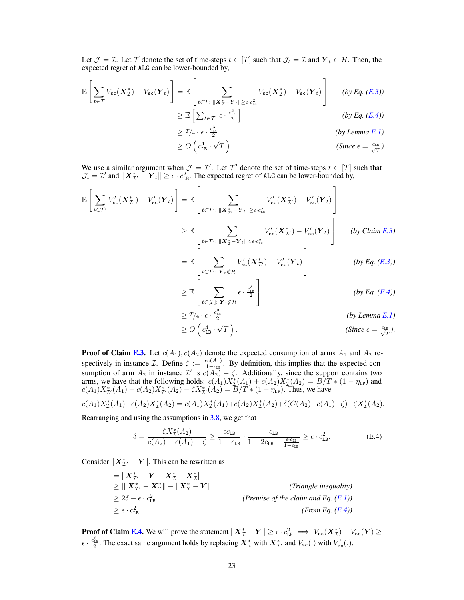Let  $\mathcal{J} = \mathcal{I}$ . Let  $\mathcal{T}$  denote the set of time-steps  $t \in [T]$  such that  $\mathcal{J}_t = \mathcal{I}$  and  $Y_t \in \mathcal{H}$ . Then, the expected regret of ALG can be lower-bounded by,

$$
\mathbb{E}\left[\sum_{t\in\mathcal{T}}V_{\text{sc}}(\boldsymbol{X}_{\mathcal{I}}^{*})-V_{\text{sc}}(\boldsymbol{Y}_{t})\right]=\mathbb{E}\left[\sum_{t\in\mathcal{T}:\;||\boldsymbol{X}_{\mathcal{I}}^{*}-\boldsymbol{Y}_{t}||\geq\epsilon\cdot c_{\text{LB}}^{2}}V_{\text{sc}}(\boldsymbol{X}_{\mathcal{I}}^{*})-V_{\text{sc}}(\boldsymbol{Y}_{t})\right] \qquad (by\;Eq.\;(E.3))
$$
\n
$$
\geq \mathbb{E}\left[\sum_{t\in\mathcal{T}}\epsilon\cdot\frac{c_{\text{LB}}^{3}}{2}\right] \qquad (by\;Eq.\;(E.4))
$$
\n
$$
\geq T/4\cdot\epsilon\cdot\frac{c_{\text{LB}}^{3}}{2} \qquad (by\;Lemma\;E.1)
$$
\n
$$
\geq O\left(c_{\text{LB}}^{4}\cdot\sqrt{T}\right).
$$
\n(Since  $\epsilon = \frac{c_{\text{LB}}}{\sqrt{T}}.$ )

 $\geq O\left(c_{\mathtt{LB}}^4\right)$ . *. (Since*  $\epsilon = \frac{c_{LB}}{\sqrt{T}}$ )

We use a similar argument when  $\mathcal{J} = \mathcal{I}'$ . Let  $\mathcal{T}'$  denote the set of time-steps  $t \in [T]$  such that  $\mathcal{J}_t = \mathcal{I}'$  and  $\|\boldsymbol{X}_{\mathcal{I}'}^* - \boldsymbol{Y}_t\| \ge \epsilon \cdot c_{\text{LB}}^2$ . The expected regret of ALG can be lower-bounded by,

$$
\mathbb{E}\left[\sum_{t\in\mathcal{T}'}V'_{\text{sc}}(\boldsymbol{X}_{\mathcal{I}'}^{*})-V'_{\text{sc}}(\boldsymbol{Y}_{t})\right]=\mathbb{E}\left[\sum_{t\in\mathcal{T}':\,\|\boldsymbol{X}_{\mathcal{I}'}^{*}-\boldsymbol{Y}_{t}\|\geq\varepsilon\cdot c_{\text{LB}}^{2}}V'_{\text{sc}}(\boldsymbol{X}_{\mathcal{I}'}^{*})-V'_{\text{sc}}(\boldsymbol{Y}_{t})\right]
$$
\n
$$
\geq\mathbb{E}\left[\sum_{t\in\mathcal{T}':\,\|\boldsymbol{X}_{\mathcal{I}}^{*}-\boldsymbol{Y}_{t}\|\leq\varepsilon\cdot c_{\text{LB}}^{2}}V'_{\text{sc}}(\boldsymbol{X}_{\mathcal{I}'}^{*})-V'_{\text{sc}}(\boldsymbol{Y}_{t})\right]
$$
\n
$$
=\mathbb{E}\left[\sum_{t\in\mathcal{T}':\,\mathrm{Y}_{t}\notin\mathcal{H}}V'_{\text{sc}}(\boldsymbol{X}_{\mathcal{I}'}^{*})-V'_{\text{sc}}(\boldsymbol{Y}_{t})\right]
$$
\n
$$
(by\, \text{Eq.} \,(E.3))
$$

$$
\geq \mathbb{E}\left[\sum_{t\in[T]:\ \mathbf{Y}_t\notin\mathcal{H}}\epsilon\cdot\frac{c_{\text{LB}}^3}{2}\right] \qquad \qquad (by\ Eq.\ (E.4))
$$

$$
\geq T/4 \cdot \epsilon \cdot \frac{c_{1B}^3}{2}
$$
 (by Lemma E.1)  

$$
\geq O\left(c_{1B}^4 \cdot \sqrt{T}\right).
$$
 (Since  $\epsilon = \frac{c_{1B}}{\sqrt{T}}.$ )

**Proof of Claim [E.3.](#page-0-39)** Let  $c(A_1)$ ,  $c(A_2)$  denote the expected consumption of arms  $A_1$  and  $A_2$  respectively in instance *I*. Define  $\zeta := \frac{\epsilon c(A_1)}{1 - c_{LR}}$ . By definition, this implies that the expected consumption of arm  $A_2$  in instance  $\mathcal{I}'$  is  $c(A_2) - \zeta$ . Additionally, since the support contains two arms, we have that the following holds:  $c(A_1)X^*_{\mathcal{I}}(A_1) + c(A_2)X^*_{\mathcal{I}}(A_2) = B/T * (1 - \eta_{LP})$  and  $c(A_1)X^*_{\mathcal{I}'}(A_1) + c(A_2)X^*_{\mathcal{I}'}(A_2) - \zeta X^*_{\mathcal{I}'}(A_2) = B/T * (1 - \eta_{LP})$ . Thus, we have

$$
c(A_1)X^*_{\mathcal{I}}(A_1)+c(A_2)X^*_{\mathcal{I}}(A_2)=c(A_1)X^*_{\mathcal{I}}(A_1)+c(A_2)X^*_{\mathcal{I}}(A_2)+\delta(C(A_2)-c(A_1)-\zeta)-\zeta X^*_{\mathcal{I}}(A_2).
$$

Rearranging and using the assumptions in  $3.8$ , we get that

$$
\delta = \frac{\zeta X_{\mathcal{I}}^*(A_2)}{c(A_2) - c(A_1) - \zeta} \ge \frac{\epsilon c_{\text{LB}}}{1 - c_{\text{LB}}} \cdot \frac{c_{\text{LB}}}{1 - 2c_{\text{LB}} - \frac{\epsilon c_{\text{LB}}}{1 - c_{\text{LB}}}} \ge \epsilon \cdot c_{\text{LB}}^2. \tag{E.4}
$$

Consider  $\|\boldsymbol{X}_{\mathcal{I}'}^* - \boldsymbol{Y}\|$ . This can be rewritten as

$$
= \|X_{\mathcal{I}'}^* - Y - X_{\mathcal{I}}^* + X_{\mathcal{I}}^* \|
$$
  
\n
$$
\geq \|\|X_{\mathcal{I}'}^* - X_{\mathcal{I}}^*\| - \|X_{\mathcal{I}}^* - Y\|
$$
  
\n
$$
\geq 2\delta - \epsilon \cdot c_{\text{LB}}^2.
$$
 (Premise of the claim and Eq. (E.1))  
\n
$$
\geq \epsilon \cdot c_{\text{LB}}^2.
$$

**Proof of Claim [E.4.](#page-0-40)** We will prove the statement  $\|\boldsymbol{X}_{\mathcal{I}}^* - \boldsymbol{Y}\| \ge \epsilon \cdot c_{\text{LB}}^2 \implies V_{\text{sc}}(\boldsymbol{X}_{\mathcal{I}}^*) - V_{\text{sc}}(\boldsymbol{Y}) \ge$  $\epsilon \cdot \frac{c_{\text{LB}}^3}{2}$ . The exact same argument holds by replacing  $\mathbf{X}_{\mathcal{I}}^*$  with  $\mathbf{X}_{\mathcal{I}'}^*$  and  $V_{\text{sc}}(.)$  with  $V'_{\text{sc}}(.)$ .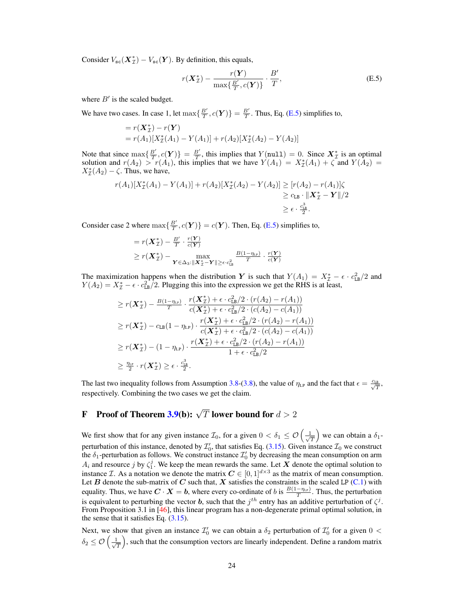Consider  $V_{\rm sc}(\mathbf{X}_{\mathcal{I}}^*) - V_{\rm sc}(\mathbf{Y})$ . By definition, this equals,

$$
r(\boldsymbol{X}_{\mathcal{I}}^*) - \frac{r(\boldsymbol{Y})}{\max\{\frac{B'}{T}, c(\boldsymbol{Y})\}} \cdot \frac{B'}{T},
$$
 (E.5)

where  $B'$  is the scaled budget.

We have two cases. In case 1, let  $\max\{\frac{B'}{T}, c(Y)\} = \frac{B'}{T}$ . Thus, Eq. [\(E.5\)](#page-0-44) simplifies to,

$$
= r(\mathbf{X}_{\mathcal{I}}^{*}) - r(\mathbf{Y})
$$
  
=  $r(A_{1})[X_{\mathcal{I}}^{*}(A_{1}) - Y(A_{1})] + r(A_{2})[X_{\mathcal{I}}^{*}(A_{2}) - Y(A_{2})]$ 

Note that since  $\max{\frac{B'}{T}, c(Y)} = \frac{B'}{T}$ , this implies that  $Y(\text{null}) = 0$ . Since  $X^*_{\mathcal{I}}$  is an optimal solution and  $r(A_2) > r(A_1)$ , this implies that we have  $Y(A_1) = X^*_{\mathcal{I}}(A_1) + \zeta$  and  $Y(A_2) = X^*_{\mathcal{I}}(A_1) + \zeta^*$  $X^*_{\mathcal{I}}(A_2) - \zeta$ . Thus, we have,

$$
r(A_1)[X_{\mathcal{I}}^*(A_1) - Y(A_1)] + r(A_2)[X_{\mathcal{I}}^*(A_2) - Y(A_2)] \ge [r(A_2) - r(A_1)]\zeta
$$
  
\n
$$
\ge c_{\text{LB}} \cdot ||\mathbf{X}_{\mathcal{I}}^* - \mathbf{Y}||/2
$$
  
\n
$$
\ge \epsilon \cdot \frac{c_{\text{LB}}^3}{2}.
$$

Consider case 2 where  $\max{\frac{B'}{T}, c(Y)} = c(Y)$ . Then, Eq. [\(E.5\)](#page-0-44) simplifies to,

$$
= r(\boldsymbol{X}_{\mathcal{I}}^{*}) - \frac{B'}{T} \cdot \frac{r(\boldsymbol{Y})}{c(\boldsymbol{Y})}
$$
  
\n
$$
\geq r(\boldsymbol{X}_{\mathcal{I}}^{*}) - \max_{\boldsymbol{Y} \in \Delta_{3}: ||\boldsymbol{X}_{\mathcal{I}}^{*} - \boldsymbol{Y}|| \geq \epsilon \cdot c_{\text{LB}}^{2}} \frac{B(1-\eta_{\text{LP}})}{T} \cdot \frac{r(\boldsymbol{Y})}{c(\boldsymbol{Y})}
$$

The maximization happens when the distribution *Y* is such that  $Y(A_1) = X^* - \epsilon \cdot c_{\text{LB}}^2/2$  and  $Y(A_1) = Y^* - \epsilon \cdot c_{\text{LB}}^2/2$  and  $Y(A_2) = X^*_{\mathcal{I}} - \epsilon \cdot c_{\text{LB}}^2/2$ . Plugging this into the expression we get the RHS is at least,

$$
\geq r(\mathbf{X}_{\mathcal{I}}^*) - \frac{B(1-\eta_{\text{LP}})}{T} \cdot \frac{r(\mathbf{X}_{\mathcal{I}}^*) + \epsilon \cdot c_{\text{LB}}^2/2 \cdot (r(A_2) - r(A_1))}{c(\mathbf{X}_{\mathcal{I}}^*) + \epsilon \cdot c_{\text{LB}}^2/2 \cdot (c(A_2) - c(A_1))}
$$
\n
$$
\geq r(\mathbf{X}_{\mathcal{I}}^*) - c_{\text{LB}}(1-\eta_{\text{LP}}) \cdot \frac{r(\mathbf{X}_{\mathcal{I}}^*) + \epsilon \cdot c_{\text{LB}}^2/2 \cdot (r(A_2) - r(A_1))}{c(\mathbf{X}_{\mathcal{I}}^*) + \epsilon \cdot c_{\text{LB}}^2/2 \cdot (c(A_2) - c(A_1))}
$$
\n
$$
\geq r(\mathbf{X}_{\mathcal{I}}^*) - (1-\eta_{\text{LP}}) \cdot \frac{r(\mathbf{X}_{\mathcal{I}}^*) + \epsilon \cdot c_{\text{LB}}^2/2 \cdot (r(A_2) - r(A_1))}{1 + \epsilon \cdot c_{\text{LB}}^2/2}
$$
\n
$$
\geq \frac{\eta_{\text{LP}}}{2} \cdot r(\mathbf{X}_{\mathcal{I}}^*) \geq \epsilon \cdot \frac{c_{\text{LB}}^2}{2}.
$$

The last two inequality follows from Assumption [3.8-\(3.8\)](#page-0-36), the value of  $\eta_{LP}$  and the fact that  $\epsilon = \frac{c_{LB}}{\sqrt{T}}$ , respectively. Combining the two cases we get the claim.

# F Proof of Theorem [3.9\(](#page-0-11)b):  $\sqrt{T}$  lower bound for  $d > 2$

We first show that for any given instance  $\mathcal{I}_0$ , for a given  $0 < \delta_1 \leq \mathcal{O}\left(\frac{1}{\sqrt{n}}\right)$ *T* ) we can obtain a  $\delta_1$ perturbation of this instance, denoted by  $\mathcal{I}'_0$ , that satisfies Eq. [\(3.15\)](#page-0-35). Given instance  $\mathcal{I}_0$  we construct the  $\delta_1$ -perturbation as follows. We construct instance  $\mathcal{I}'_0$  by decreasing the mean consumption on arm  $A_i$  and resource *j* by  $\zeta_1^j$ . We keep the mean rewards the same. Let *X* denote the optimal solution to instance *I*. As a notation we denote the matrix  $C \in [0, 1]^{d \times 3}$  as the matrix of mean consumption. Let *B* denote the sub-matrix of *C* such that, *X* satisfies the constraints in the scaled LP  $(C.1)$  with equality. Thus, we have  $C \cdot X = b$ , where every co-ordinate of *b* is  $\frac{B(1-\eta_{LP})}{T}$ . Thus, the perturbation is equivalent to perturbing the vector *b*, such that the  $j^{th}$  entry has an additive perturbation of  $\zeta^j$ . From Proposition 3.1 in [\[46\]](#page-0-45), this linear program has a non-degenerate primal optimal solution, in the sense that it satisfies Eq.  $(3.15)$ .

Next, we show that given an instance  $\mathcal{I}'_0$  we can obtain a  $\delta_2$  perturbation of  $\mathcal{I}'_0$  for a given  $0 < \delta$  $\delta_2 \leq \mathcal{O}\left(\frac{1}{\sqrt{2}}\right)$ *T* ), such that the consumption vectors are linearly independent. Define a random matrix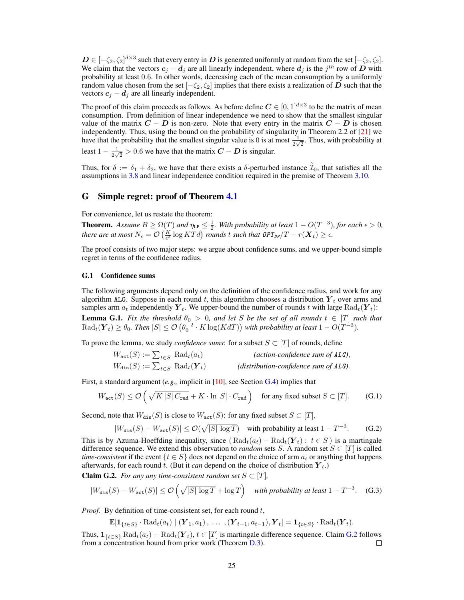$D \in [-\zeta_2, \zeta_2]^{d \times 3}$  such that every entry in *D* is generated uniformly at random from the set  $[-\zeta_2, \zeta_2]$ . We claim that the vectors  $c_j - d_j$  are all linearly independent, where  $d_j$  is the  $j^{th}$  row of  $D$  with probability at least 0*.*6. In other words, decreasing each of the mean consumption by a uniformly random value chosen from the set  $[-\zeta_2, \zeta_2]$  implies that there exists a realization of *D* such that the vectors  $c_j - d_j$  are all linearly independent.

<span id="page-10-6"></span>The proof of this claim proceeds as follows. As before define  $C \in [0, 1]^{d \times 3}$  to be the matrix of mean consumption. From definition of linear independence we need to show that the smallest singular value of the matrix  $C - D$  is non-zero. Note that every entry in the matrix  $C - D$  is chosen independently. Thus, using the bound on the probability of singularity in Theorem 2.2 of [\[21\]](#page-0-46) we have that the probability that the smallest singular value is 0 is at most  $\frac{1}{2\sqrt{2}}$ . Thus, with probability at least  $1 - \frac{1}{2\sqrt{2}} > 0.6$  we have that the matrix  $C - D$  is singular.

Thus, for  $\delta := \delta_1 + \delta_2$ , we have that there exists a  $\delta$ -perturbed instance  $\mathcal{I}_0$ , that satisfies all the assumptions in [3.8](#page-0-36) and linear independence condition required in the premise of Theorem [3.10.](#page-0-29)

# G Simple regret: proof of Theorem [4.1](#page-0-47)

For convenience, let us restate the theorem:

<span id="page-10-2"></span>**Theorem.** Assume  $B \ge \Omega(T)$  and  $\eta_{LP} \le \frac{1}{2}$ . With probability at least  $1 - O(T^{-3})$ , for each  $\epsilon > 0$ , *there are at most*  $N_{\epsilon} = \mathcal{O}\left(\frac{K}{\epsilon^2} \log KTd\right)$  *rounds t* such that  $\theta PT_{DP}/T - r(\boldsymbol{X}_t) \geq \epsilon$ .

The proof consists of two major steps: we argue about confidence sums, and we upper-bound simple regret in terms of the confidence radius.

### G.1 Confidence sums

The following arguments depend only on the definition of the confidence radius, and work for any algorithm ALG. Suppose in each round  $t$ , this algorithm chooses a distribution  $Y_t$  over arms and samples arm  $a_t$  independently  $Y_t$ . We upper-bound the number of rounds t with large  $\text{Rad}_t(Y_t)$ : **Lemma G.1.** Fix the threshold  $\theta_0 > 0$ , and let S be the set of all rounds  $t \in [T]$  such that  $\text{Rad}_t(\boldsymbol{Y}_t) \geq \theta_0$ . Then  $|S| \leq \mathcal{O}\left(\theta_0^{-2} \cdot K \log(KdT)\right)$  with probability at least  $1 - O(T^{-3})$ .

To prove the lemma, we study *confidence sums*: for a subset  $S \subset [T]$  of rounds, define

| $W_{\texttt{act}}(S) := \sum_{t \in S} \text{ Rad}_t(a_t)$    | (action-confidence sum of $ALG$ ),       |
|---------------------------------------------------------------|------------------------------------------|
| $W_{\text{dis}}(S) := \sum_{t \in S} \text{ Rad}_t(\bm{Y}_t)$ | (distribution-confidence sum of $ALG$ ). |

<span id="page-10-5"></span><span id="page-10-4"></span>First, a standard argument (*e.g.,* implicit in [\[10\]](#page-0-48), see Section [G.4\)](#page-0-49) implies that

$$
W_{\text{act}}(S) \le \mathcal{O}\left(\sqrt{K|S|C_{\text{rad}}} + K \cdot \ln|S| \cdot C_{\text{rad}}\right) \quad \text{for any fixed subset } S \subset [T].\tag{G.1}
$$

<span id="page-10-0"></span>Second, note that  $W_{dis}(S)$  is close to  $W_{act}(S)$ : for any fixed subset  $S \subset [T]$ ,

$$
|W_{\text{dis}}(S) - W_{\text{act}}(S)| \le \mathcal{O}(\sqrt{|S| \log T}) \quad \text{with probability at least } 1 - T^{-3}.\tag{G.2}
$$

This is by Azuma-Hoeffding inequality, since  $(Rad_t(a_t) - Rad_t(Y_t): t \in S)$  is a martingale difference sequence. We extend this observation to *random* sets *S*. A random set  $S \subset [T]$  is called *time-consistent* if the event  $\{t \in S\}$  does not depend on the choice of arm  $a_t$  or anything that happens afterwards, for each round *t*. (But it *can* depend on the choice of distribution *Y <sup>t</sup>*.)

<span id="page-10-1"></span>**Claim G.2.** *For any any time-consistent random set*  $S \subset [T]$ *,* 

$$
|W_{\text{dis}}(S) - W_{\text{act}}(S)| \le \mathcal{O}\left(\sqrt{|S| \log T} + \log T\right) \quad \text{with probability at least } 1 - T^{-3}. \quad \text{(G.3)}
$$

*Proof.* By definition of time-consistent set, for each round *t*,

$$
\mathbb{E}[\mathbf{1}_{\{t\in S\}}\cdot \mathrm{Rad}_{t}(a_{t}) \mid (\boldsymbol{Y}_{1}, a_{1}), \ldots, (\boldsymbol{Y}_{t-1}, a_{t-1}), \boldsymbol{Y}_{t}]=\mathbf{1}_{\{t\in S\}}\cdot \mathrm{Rad}_{t}(\boldsymbol{Y}_{t}).
$$

<span id="page-10-3"></span>Thus,  $\mathbf{1}_{\{t \in S\}}$  Rad $_t(a_t)$  – Rad $_t(Y_t)$ ,  $t \in [T]$  is martingale difference sequence. Claim [G.2](#page-0-50) follows from a concentration bound from prior work (Theorem D.3). from a concentration bound from prior work (Theorem [D.3\)](#page-0-51).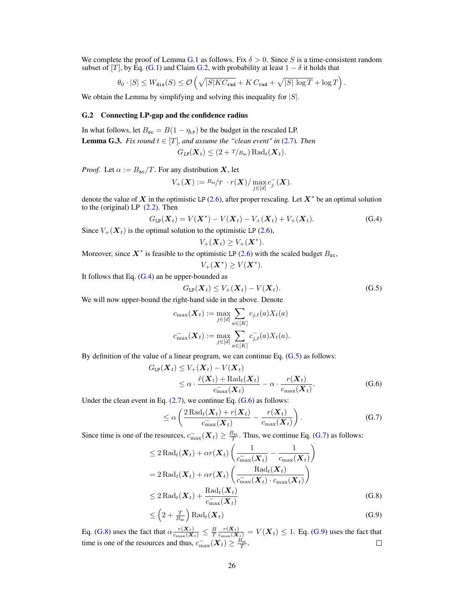<span id="page-11-1"></span>We complete the proof of Lemma [G.1](#page-0-15) as follows. Fix  $\delta > 0$ . Since *S* is a time-consistent random subset of [*T*], by Eq. [\(G.1\)](#page-0-52) and Claim [G.2,](#page-0-50) with probability at least  $1 - \delta$  it holds that

$$
\theta_0 \cdot |S| \leq W_{\text{dis}}(S) \leq \mathcal{O}\left(\sqrt{|S| K C_{\text{rad}}} + K C_{\text{rad}} + \sqrt{|S| \log T} + \log T\right).
$$

We obtain the Lemma by simplifying and solving this inequality for *|S|*.

### G.2 Connecting LP-gap and the confidence radius

In what follows, let  $B_{\rm sc} = B(1 - \eta_{\rm LP})$  be the budget in the rescaled LP. **Lemma G.3.** *Fix round*  $t \in [T]$ *, and assume the "clean event" in* [\(2.7\)](#page-0-53)*. Then* 

$$
G_{LP}(\boldsymbol{X}_t) \leq (2+T/B_{\rm sc}) \operatorname{Rad}_t(\boldsymbol{X}_t).
$$

*Proof.* Let  $\alpha := B_{\rm sc}/T$ . For any distribution *X*, let

$$
V_+(\boldsymbol{X}):= {}^{B_{\mathrm{sc}}}/T \, \cdot r(\boldsymbol{X})/\max_{j\in[d]} c_j^-(\boldsymbol{X}).
$$

<span id="page-11-0"></span>denote the value of  $\boldsymbol{X}$  in the optimistic LP [\(2.6\)](#page-0-54), after proper rescaling. Let  $\boldsymbol{X}^*$  be an optimal solution to the (original) LP  $(2.2)$ . Then

$$
G_{\text{LP}}(\boldsymbol{X}_t) = V(\boldsymbol{X}^*) - V(\boldsymbol{X}_t) - V_+(\boldsymbol{X}_t) + V_+(\boldsymbol{X}_t). \tag{G.4}
$$

Since  $V_+({\bf X}_t)$  is the optimal solution to the optimistic LP [\(2.6\)](#page-0-54),

$$
V_+(\boldsymbol{X}_t) \geq V_+(\boldsymbol{X}^*).
$$

Moreover, since  $X^*$  is feasible to the optimistic LP [\(2.6\)](#page-0-54) with the scaled budget  $B_{\rm sc}$ ,

$$
V_+(\boldsymbol{X}^*)\geq V(\boldsymbol{X}^*).
$$

It follows that Eq.  $(G.4)$  an be upper-bounded as

$$
G_{\text{LP}}(\boldsymbol{X}_t) \le V_+(\boldsymbol{X}_t) - V(\boldsymbol{X}_t). \tag{G.5}
$$

We will now upper-bound the right-hand side in the above. Denote

$$
c_{\max}(\boldsymbol{X}_t) := \max_{j \in [d]} \sum_{a \in [K]} c_{j,t}(a) X_t(a)
$$

$$
c_{\max}^-(\boldsymbol{X}_t) := \max_{j \in [d]} \sum_{a \in [K]} c_{j,t}^-(a) X_t(a).
$$

By definition of the value of a linear program, we can continue Eq. [\(G.5\)](#page-0-56) as follows:

$$
G_{\text{LP}}(\boldsymbol{X}_t) \le V_+(\boldsymbol{X}_t) - V(\boldsymbol{X}_t)
$$
  
 
$$
\le \alpha \cdot \frac{\hat{r}(\boldsymbol{X}_t) + \text{Rad}_t(\boldsymbol{X}_t)}{c_{\text{max}}(\boldsymbol{X}_t)} - \alpha \cdot \frac{r(\boldsymbol{X}_t)}{c_{\text{max}}(\boldsymbol{X}_t)}.
$$
 (G.6)

Under the clean event in Eq.  $(2.7)$ , we continue Eq.  $(G.6)$  as follows:

$$
\leq \alpha \left( \frac{2 \operatorname{Rad}_t(\boldsymbol{X}_t) + r(\boldsymbol{X}_t)}{c_{\max}^-(\boldsymbol{X}_t)} - \frac{r(\boldsymbol{X}_t)}{c_{\max}(\boldsymbol{X}_t)} \right). \tag{G.7}
$$

Since time is one of the resources,  $c_{\max}^-(\mathbf{X}_t) \ge \frac{B_{\text{sc}}}{T}$ . Thus, we continue Eq. [\(G.7\)](#page-0-58) as follows:

$$
\leq 2 \operatorname{Rad}_t(\boldsymbol{X}_t) + \alpha r(\boldsymbol{X}_t) \left( \frac{1}{c_{\max}^-(\boldsymbol{X}_t)} - \frac{1}{c_{\max}(\boldsymbol{X}_t)} \right)
$$
  
= 2 \operatorname{Rad}\_t(\boldsymbol{X}\_t) + \alpha r(\boldsymbol{X}\_t) \left( \frac{\operatorname{Rad}\_t(\boldsymbol{X}\_t)}{c\_{\max}^-(\boldsymbol{X}\_t) \cdot c\_{\max}(\boldsymbol{X}\_t)} \right)  
< 2 \operatorname{Rad}\_t(\boldsymbol{X}\_t) + \frac{\operatorname{Rad}\_t(\boldsymbol{X}\_t)}{c\_{\max}^-(\boldsymbol{X}\_t)} \qquad (G.8)

$$
\leq \left(2 + \frac{T}{B_{\rm sc}}\right) \text{Rad}_{t}(\boldsymbol{X}_{t}) \tag{G.9}
$$

<span id="page-11-2"></span>Eq. [\(G.8\)](#page-0-59) uses the fact that  $\alpha \frac{r(X_t)}{c_{\max}(X_t)} \leq \frac{B}{T} \frac{r(X_t)}{c_{\max}(X_t)} = V(X_t) \leq 1$ . Eq. [\(G.9\)](#page-0-60) uses the fact that time is one of the resources and thus,  $c_{\max}^-({\bm{X}}_t) \geq \frac{B_{\text{sc}}}{T}$ .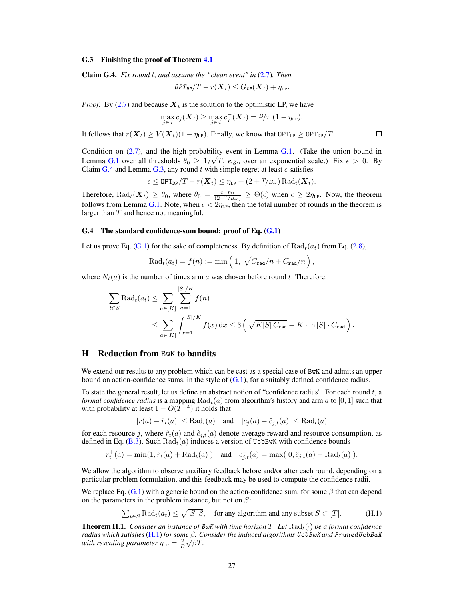#### G.3 Finishing the proof of Theorem [4.1](#page-0-47)

Claim G.4. *Fix round t, and assume the "clean event" in* [\(2.7\)](#page-0-53)*. Then*

$$
\mathit{OPT}_{\mathit{DP}}/T - r(\boldsymbol{X}_t) \leq G_{\mathit{LP}}(\boldsymbol{X}_t) + \eta_{\mathit{LP}}.
$$

*Proof.* By [\(2.7\)](#page-0-53) and because  $X_t$  is the solution to the optimistic LP, we have

$$
\max_{j\in d} c_j(\boldsymbol{X}_t) \ge \max_{j\in d} c_j^-(\boldsymbol{X}_t) = B/T (1 - \eta_{LP}).
$$

It follows that  $r(X_t) \ge V(X_t)(1 - \eta_{LP})$ . Finally, we know that  $\text{OPT}_{LP} \ge \text{OPT}_{DP}/T$ .

Condition on  $(2.7)$ , and the high-probability event in Lemma [G.1.](#page-0-15) (Take the union bound in Lemma [G.1](#page-0-15) over all thresholds  $\theta_0 \geq 1/\sqrt{T}$ , *e.g.*, over an exponential scale.) Fix  $\epsilon > 0$ . By Claim [G.4](#page-0-61) and Lemma [G.3,](#page-0-62) any round  $t$  with simple regret at least  $\epsilon$  satisfies

$$
\epsilon \leq \texttt{OPT}_{\texttt{DP}}/T - r(\boldsymbol{X}_t) \leq \eta_{\texttt{LP}} + (2 + T/B_{\texttt{sc}}) \text{Rad}_{t}(\boldsymbol{X}_t).
$$

Therefore,  $\text{Rad}_t(\boldsymbol{X}_t) \geq \theta_0$ , where  $\theta_0 = \frac{\epsilon - \eta_{\text{LP}}}{(2 + T/B_{\text{sc}})} \geq \Theta(\epsilon)$  when  $\epsilon \geq 2\eta_{\text{LP}}$ . Now, the theorem follows from Lemma [G.1.](#page-0-15) Note, when  $\epsilon < 2\eta_{LP}$ , then the total number of rounds in the theorem is larger than *T* and hence not meaningful.

### G.4 The standard confidence-sum bound: proof of Eq. [\(G.1\)](#page-0-52)

Let us prove Eq. [\(G.1\)](#page-0-52) for the sake of completeness. By definition of  $Rad<sub>t</sub>(a<sub>t</sub>)$  from Eq. [\(2.8\)](#page-0-63),

$$
\operatorname{Rad}_t(a_t) = f(n) := \min\left(1, \sqrt{C_{\text{rad}}/n} + C_{\text{rad}}/n\right),\,
$$

where  $N_t(a)$  is the number of times arm *a* was chosen before round *t*. Therefore:

$$
\sum_{t \in S} \text{Rad}_{t}(a_{t}) \leq \sum_{a \in [K]} \sum_{n=1}^{|S|/K} f(n)
$$
\n
$$
\leq \sum_{a \in [K]} \int_{x=1}^{|S|/K} f(x) dx \leq 3 \left( \sqrt{K|S| C_{\text{rad}}} + K \cdot \ln |S| \cdot C_{\text{rad}} \right).
$$

# H Reduction from BwK to bandits

<span id="page-12-0"></span>We extend our results to any problem which can be cast as a special case of BwK and admits an upper bound on action-confidence sums, in the style of  $(G.1)$ , for a suitably defined confidence radius.

To state the general result, let us define an abstract notion of "confidence radius". For each round *t*, a *formal confidence radius* is a mapping  $Rad<sub>t</sub>(a)$  from algorithm's history and arm *a* to [0, 1] such that with probability at least  $1 - O(T^{-4})$  it holds that

$$
|r(a) - \hat{r}_t(a)| \leq \text{Rad}_t(a) \quad \text{and} \quad |c_j(a) - \hat{c}_{j,t}(a)| \leq \text{Rad}_t(a)
$$

<span id="page-12-1"></span>for each resource *j*, where  $\hat{r}_t(a)$  and  $\hat{c}_{j,t}(a)$  denote average reward and resource consumption, as defined in Eq. [\(B.3\)](#page-0-64). Such  $Rad<sub>t</sub>(a)$  induces a version of UcbBwK with confidence bounds

$$
r_t^+(a) = \min(1, \hat{r}_t(a) + \text{Rad}_t(a))
$$
 and  $c_{j,t}^-(a) = \max(0, \hat{c}_{j,t}(a) - \text{Rad}_t(a))$ .

We allow the algorithm to observe auxiliary feedback before and/or after each round, depending on a particular problem formulation, and this feedback may be used to compute the confidence radii.

We replace Eq. [\(G.1\)](#page-0-52) with a generic bound on the action-confidence sum, for some  $\beta$  that can depend on the parameters in the problem instance, but not on *S*:

$$
\sum_{t \in S} \text{Rad}_{t}(a_{t}) \le \sqrt{|S| \beta}, \quad \text{for any algorithm and any subset } S \subset [T]. \tag{H.1}
$$

**Theorem H.1.** *Consider an instance of BwK with time horizon*  $T$ *. Let*  $\text{Rad}_t(\cdot)$  *be a formal confidence radius which satisfies* [\(H.1\)](#page-0-65) *for some . Consider the induced algorithms UcbBwK and PrunedUcbBwK with rescaling parameter*  $\eta_{LP} = \frac{2}{B} \sqrt{\beta T}$ .

 $\Box$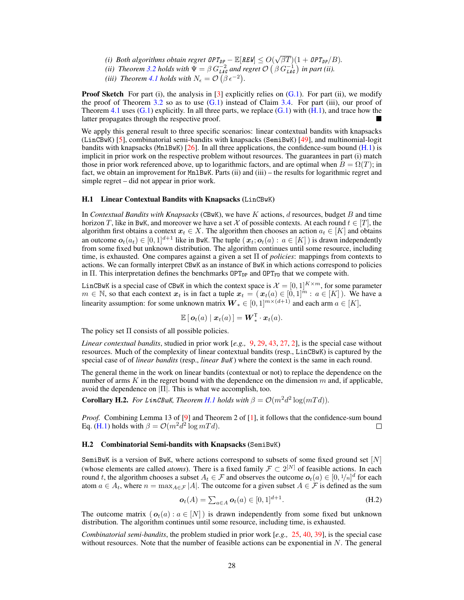- *(i) Both algorithms obtain regret*  $\mathcal{OPT}_{DP} \mathbb{E}[REW] \leq O(\sqrt{\beta T})(1 + \mathcal{OPT}_{DP}/B)$ .
- *(ii) Theorem* [3.2](#page-0-66) *holds with*  $\Psi = \beta G_{\text{LAG}}^{-2}$  *and regret*  $\mathcal{O}\left(\beta G_{\text{LAG}}^{-1}\right)$  *in part (ii).*
- (*iii*) *Theorem [4.1](#page-0-47) holds with*  $N_{\epsilon} = \mathcal{O}(\beta \epsilon^{-2})$ .

<span id="page-13-0"></span>**Proof Sketch** For part (i), the analysis in [\[3\]](#page-0-67) explicitly relies on  $(G.1)$ . For part (ii), we modify the proof of Theorem [3.2](#page-0-66) so as to use  $(G.1)$  instead of Claim [3.4.](#page-0-68) For part (iii), our proof of Theorem [4.1](#page-0-47) uses  $(G.1)$  explicitly. In all three parts, we replace  $(G.1)$  with  $(H.1)$ , and trace how the latter propagates through the respective proof.

We apply this general result to three specific scenarios: linear contextual bandits with knapsacks (LinCBwK) [\[5\]](#page-0-69), combinatorial semi-bandits with knapsacks (SemiBwK) [\[49\]](#page-0-70), and multinomial-logit bandits with knapsacks (Mn1BwK) [\[26\]](#page-0-71). In all three applications, the confidence-sum bound [\(H.1\)](#page-0-65) is implicit in prior work on the respective problem without resources. The guarantees in part (i) match those in prior work referenced above, up to logarithmic factors, and are optimal when  $B = \Omega(T)$ ; in fact, we obtain an improvement for MnlBwK. Parts (ii) and (iii) – the results for logarithmic regret and simple regret – did not appear in prior work.

### H.1 Linear Contextual Bandits with Knapsacks (LinCBwK)

In *Contextual Bandits with Knapsacks* (CBwK), we have *K* actions, *d* resources, budget *B* and time horizon *T*, like in BwK, and moreover we have a set *X* of possible contexts. At each round  $t \in [T]$ , the algorithm first obtains a context  $x_t \in X$ . The algorithm then chooses an action  $a_t \in [K]$  and obtains an outcome  $o_t(a_t) \in [0,1]^{d+1}$  like in BwK. The tuple  $(x_t; o_t(a) : a \in [K]$  is drawn independently from some fixed but unknown distribution. The algorithm continues until some resource, including time, is exhausted. One compares against a given a set  $\Pi$  of *policies*: mappings from contexts to actions. We can formally interpret CBwK as an instance of BwK in which actions correspond to policies in  $\Pi$ . This interpretation defines the benchmarks  $\text{OPT}_{DP}$  and  $\text{OPT}_{FD}$  that we compete with.

LinCBwK is a special case of CBwK in which the context space is  $\mathcal{X} = [0,1]^{K \times m}$ , for some parameter  $m \in \mathbb{N}$ , so that each context  $x_t$  is in fact a tuple  $x_t = (x_t(a) \in [0,1]^m : a \in [K])$ . We have a linearity assumption: for some unknown matrix  $W_* \in [0, 1]^{m \times (d+1)}$  and each arm  $a \in [K]$ ,

$$
\mathbb{E}\left[\,\boldsymbol{o}_t(a)\mid \boldsymbol{x}_t(a)\,\right] = \boldsymbol{W}_*^{\mathrm{T}}\cdot\boldsymbol{x}_t(a).
$$

The policy set  $\Pi$  consists of all possible policies.

*Linear contextual bandits*, studied in prior work [*e.g.,* [9,](#page-0-72) [29,](#page-0-73) [43,](#page-0-51) [27,](#page-0-74) [2\]](#page-0-75), is the special case without resources. Much of the complexity of linear contextual bandits (resp., LinCBwK) is captured by the special case of of *linear bandits* (resp., *linear BwK* ) where the context is the same in each round.

The general theme in the work on linear bandits (contextual or not) to replace the dependence on the number of arms *K* in the regret bound with the dependence on the dimension *m* and, if applicable, avoid the dependence on  $|\Pi|$ . This is what we accomplish, too.

**Corollary H.2.** For LinCBwK, Theorem [H.1](#page-0-76) holds with  $\beta = \mathcal{O}(m^2d^2 \log(mTd)).$ 

*Proof.* Combining Lemma 13 of [\[9\]](#page-0-72) and Theorem 2 of [\[1\]](#page-0-77), it follows that the confidence-sum bound Eq. [\(H.1\)](#page-0-65) holds with  $\beta = O(m^2 d^2 \log m T d)$ .  $\Box$ 

### H.2 Combinatorial Semi-bandits with Knapsacks (SemiBwK)

SemiBwK is a version of BwK, where actions correspond to subsets of some fixed ground set [*N*] (whose elements are called *atoms*). There is a fixed family  $\mathcal{F} \subset 2^{[N]}$  of feasible actions. In each round *t*, the algorithm chooses a subset  $A_t \in \mathcal{F}$  and observes the outcome  $o_t(a) \in [0, 1/n]^d$  for each atom  $a \in A_t$ , where  $n = \max_{A \in \mathcal{F}} |A|$ . The outcome for a given subset  $A \in \mathcal{F}$  is defined as the sum

$$
\boldsymbol{o}_t(A) = \sum_{a \in A} \boldsymbol{o}_t(a) \in [0,1]^{d+1}.
$$
 (H.2)

The outcome matrix ( $o_t(a)$ :  $a \in [N]$ ) is drawn independently from some fixed but unknown distribution. The algorithm continues until some resource, including time, is exhausted.

*Combinatorial semi-bandits*, the problem studied in prior work [*e.g.,* [25,](#page-0-78) [40,](#page-0-79) [39\]](#page-0-11), is the special case without resources. Note that the number of feasible actions can be exponential in *N*. The general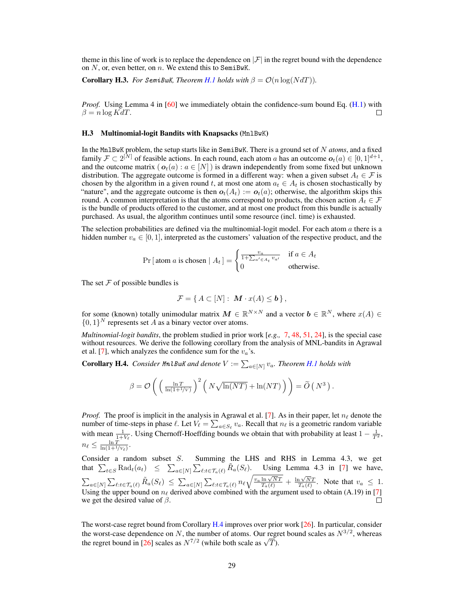theme in this line of work is to replace the dependence on  $|\mathcal{F}|$  in the regret bound with the dependence on *N*, or, even better, on *n*. We extend this to SemiBwK.

**Corollary H.3.** For SemiBwK, Theorem [H.1](#page-0-76) holds with  $\beta = \mathcal{O}(n \log(NdT))$ .

*Proof.* Using Lemma 4 in [\[60\]](#page-0-80) we immediately obtain the confidence-sum bound Eq. [\(H.1\)](#page-0-65) with  $\beta = n \log K dT$ . П

### H.3 Multinomial-logit Bandits with Knapsacks (Mn1BwK)

In the MnlBwK problem, the setup starts like in SemiBwK. There is a ground set of *N atoms*, and a fixed family  $\mathcal{F} \subset 2^{[N]}$  of feasible actions. In each round, each atom *a* has an outcome  $o_t(a) \in [0, 1]^{d+1}$ , and the outcome matrix  $(o_t(a) : a \in [N])$  is drawn independently from some fixed but unknown distribution. The aggregate outcome is formed in a different way: when a given subset  $A_t \in \mathcal{F}$  is chosen by the algorithm in a given round t, at most one atom  $a_t \in A_t$  is chosen stochastically by "nature", and the aggregate outcome is then  $o_t(A_t) := o_t(a)$ ; otherwise, the algorithm skips this round. A common interpretation is that the atoms correspond to products, the chosen action  $A_t \in \mathcal{F}$ is the bundle of products offered to the customer, and at most one product from this bundle is actually purchased. As usual, the algorithm continues until some resource (incl. time) is exhausted.

The selection probabilities are defined via the multinomial-logit model. For each atom *a* there is a hidden number  $v_a \in [0, 1]$ , interpreted as the customers' valuation of the respective product, and the

$$
\Pr\left[\text{atom } a \text{ is chosen} \mid A_t\right] = \begin{cases} \frac{v_a}{1 + \sum_{a' \in A_t} v_{a'}} & \text{if } a \in A_t \\ 0 & \text{otherwise.} \end{cases}
$$

The set  $F$  of possible bundles is

$$
\mathcal{F} = \{ A \subset [N] : \boldsymbol{M} \cdot x(A) \leq \boldsymbol{b} \},
$$

for some (known) totally unimodular matrix  $M \in \mathbb{R}^{N \times N}$  and a vector  $b \in \mathbb{R}^{N}$ , where  $x(A) \in$  $\{0,1\}^N$  represents set *A* as a binary vector over atoms.

*Multinomial-logit bandits*, the problem studied in prior work [*e.g.,* [7,](#page-0-81) [48,](#page-0-82) [51,](#page-0-83) [24\]](#page-0-84), is the special case without resources. We derive the following corollary from the analysis of MNL-bandits in Agrawal et al. [\[7\]](#page-0-81), which analyzes the confidence sum for the *va*'s.

**Corollary H.4.** *Consider <code>MnlBwK</code> and denote*  $V := \sum_{a \in [N]} v_a$ *. Theorem [H.1](#page-0-76) holds with* 

$$
\beta = \mathcal{O}\left(\left(\frac{\ln T}{\ln(1+1/\nu)}\right)^2 \left(N\sqrt{\ln(NT)} + \ln(NT)\right)\right) = \widetilde{O}\left(N^3\right).
$$

*Proof.* The proof is implicit in the analysis in Agrawal et al. [\[7\]](#page-0-81). As in their paper, let  $n_\ell$  denote the number of time-steps in phase  $\ell$ . Let  $V_{\ell} = \sum_{a \in S_{\ell}} v_a$ . Recall that  $n_{\ell}$  is a geometric random variable with mean  $\frac{1}{1+V_{\ell}}$ . Using Chernoff-Hoeffding bounds we obtain that with probability at least  $1-\frac{1}{T^2}$ ,  $n_\ell \leq \frac{\ln T}{\ln(1+1/v_\ell)}.$ 

Consider a random subset *S*. Summing the LHS and RHS in Lemma 4.3, we get that  $\sum_{t \in S} \text{Rad}_t(a_t) \leq \sum_{a \in [N]} \sum_{\ell: t \in \mathcal{T}_a(\ell)} \tilde{R}_a(S_\ell)$ . Using Lemma 4.3 in [\[7\]](#page-0-81) we have,  $\sum_{a\in[N]}\sum_{\ell:t\in\mathcal{T}_a(\ell)}\tilde{R}_a(S_{\ell})\leq \sum_{a\in[N]}\sum_{\ell:t\in\mathcal{T}_a(\ell)}n_{\ell}\sqrt{\frac{v_a\ln\sqrt{N}T}{T_a(\ell)}}+\frac{\ln\sqrt{N}T}{T_a(\ell)}.$  Note that  $v_a\leq 1$ . Using the upper bound on  $n_\ell$  derived above combined with the argument used to obtain (A.19) in [\[7\]](#page-0-81) we get the desired value of  $\beta$ .

The worst-case regret bound from Corollary [H.4](#page-0-85) improves over prior work [\[26\]](#page-0-71). In particular, consider the worst-case dependence on *N*, the number of atoms. Our regret bound scales as  $N^{3/2}$ , whereas the regret bound in [\[26\]](#page-0-71) scales as  $N^{7/2}$  (while both scale as  $\sqrt{T}$ ).